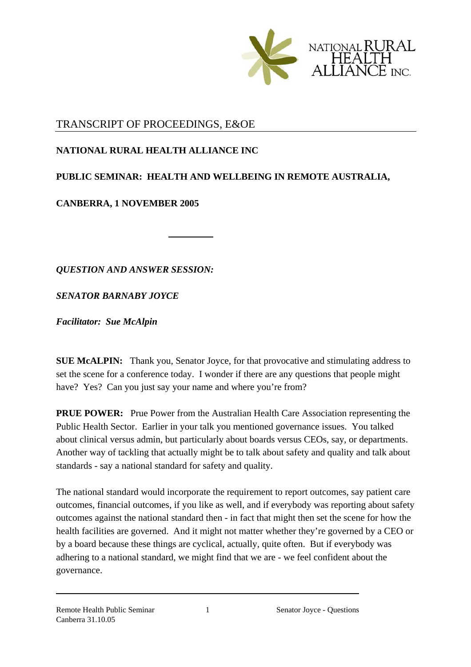

## TRANSCRIPT OF PROCEEDINGS, E&OE

## **NATIONAL RURAL HEALTH ALLIANCE INC**

## **PUBLIC SEMINAR: HEALTH AND WELLBEING IN REMOTE AUSTRALIA,**

## **CANBERRA, 1 NOVEMBER 2005**

*QUESTION AND ANSWER SESSION:* 

*SENATOR BARNABY JOYCE* 

*Facilitator: Sue McAlpin*

**SUE McALPIN:** Thank you, Senator Joyce, for that provocative and stimulating address to set the scene for a conference today. I wonder if there are any questions that people might have? Yes? Can you just say your name and where you're from?

**PRUE POWER:** Prue Power from the Australian Health Care Association representing the Public Health Sector. Earlier in your talk you mentioned governance issues. You talked about clinical versus admin, but particularly about boards versus CEOs, say, or departments. Another way of tackling that actually might be to talk about safety and quality and talk about standards - say a national standard for safety and quality.

The national standard would incorporate the requirement to report outcomes, say patient care outcomes, financial outcomes, if you like as well, and if everybody was reporting about safety outcomes against the national standard then - in fact that might then set the scene for how the health facilities are governed. And it might not matter whether they're governed by a CEO or by a board because these things are cyclical, actually, quite often. But if everybody was adhering to a national standard, we might find that we are - we feel confident about the governance.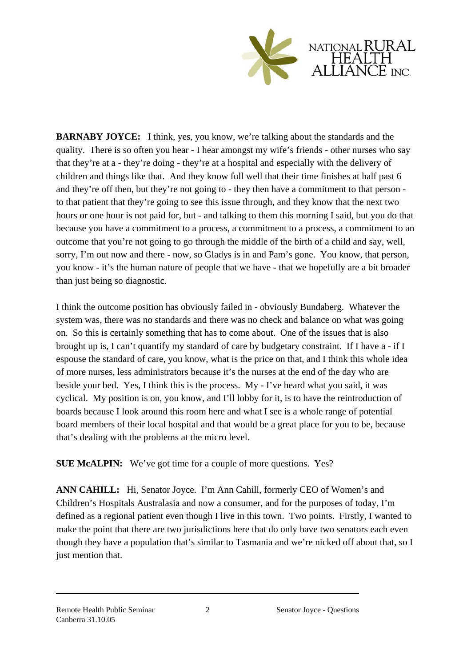

**BARNABY JOYCE:** I think, yes, you know, we're talking about the standards and the quality. There is so often you hear - I hear amongst my wife's friends - other nurses who say that they're at a - they're doing - they're at a hospital and especially with the delivery of children and things like that. And they know full well that their time finishes at half past 6 and they're off then, but they're not going to - they then have a commitment to that person to that patient that they're going to see this issue through, and they know that the next two hours or one hour is not paid for, but - and talking to them this morning I said, but you do that because you have a commitment to a process, a commitment to a process, a commitment to an outcome that you're not going to go through the middle of the birth of a child and say, well, sorry, I'm out now and there - now, so Gladys is in and Pam's gone. You know, that person, you know - it's the human nature of people that we have - that we hopefully are a bit broader than just being so diagnostic.

I think the outcome position has obviously failed in - obviously Bundaberg. Whatever the system was, there was no standards and there was no check and balance on what was going on. So this is certainly something that has to come about. One of the issues that is also brought up is, I can't quantify my standard of care by budgetary constraint. If I have a - if I espouse the standard of care, you know, what is the price on that, and I think this whole idea of more nurses, less administrators because it's the nurses at the end of the day who are beside your bed. Yes, I think this is the process. My - I've heard what you said, it was cyclical. My position is on, you know, and I'll lobby for it, is to have the reintroduction of boards because I look around this room here and what I see is a whole range of potential board members of their local hospital and that would be a great place for you to be, because that's dealing with the problems at the micro level.

**SUE McALPIN:** We've got time for a couple of more questions. Yes?

**ANN CAHILL:** Hi, Senator Joyce. I'm Ann Cahill, formerly CEO of Women's and Children's Hospitals Australasia and now a consumer, and for the purposes of today, I'm defined as a regional patient even though I live in this town. Two points. Firstly, I wanted to make the point that there are two jurisdictions here that do only have two senators each even though they have a population that's similar to Tasmania and we're nicked off about that, so I just mention that.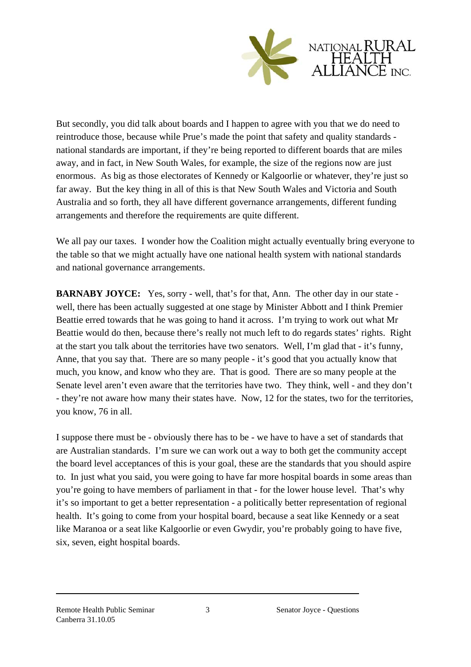

But secondly, you did talk about boards and I happen to agree with you that we do need to reintroduce those, because while Prue's made the point that safety and quality standards national standards are important, if they're being reported to different boards that are miles away, and in fact, in New South Wales, for example, the size of the regions now are just enormous. As big as those electorates of Kennedy or Kalgoorlie or whatever, they're just so far away. But the key thing in all of this is that New South Wales and Victoria and South Australia and so forth, they all have different governance arrangements, different funding arrangements and therefore the requirements are quite different.

We all pay our taxes. I wonder how the Coalition might actually eventually bring everyone to the table so that we might actually have one national health system with national standards and national governance arrangements.

**BARNABY JOYCE:** Yes, sorry - well, that's for that, Ann. The other day in our state well, there has been actually suggested at one stage by Minister Abbott and I think Premier Beattie erred towards that he was going to hand it across. I'm trying to work out what Mr Beattie would do then, because there's really not much left to do regards states' rights. Right at the start you talk about the territories have two senators. Well, I'm glad that - it's funny, Anne, that you say that. There are so many people - it's good that you actually know that much, you know, and know who they are. That is good. There are so many people at the Senate level aren't even aware that the territories have two. They think, well - and they don't - they're not aware how many their states have. Now, 12 for the states, two for the territories, you know, 76 in all.

I suppose there must be - obviously there has to be - we have to have a set of standards that are Australian standards. I'm sure we can work out a way to both get the community accept the board level acceptances of this is your goal, these are the standards that you should aspire to. In just what you said, you were going to have far more hospital boards in some areas than you're going to have members of parliament in that - for the lower house level. That's why it's so important to get a better representation - a politically better representation of regional health. It's going to come from your hospital board, because a seat like Kennedy or a seat like Maranoa or a seat like Kalgoorlie or even Gwydir, you're probably going to have five, six, seven, eight hospital boards.